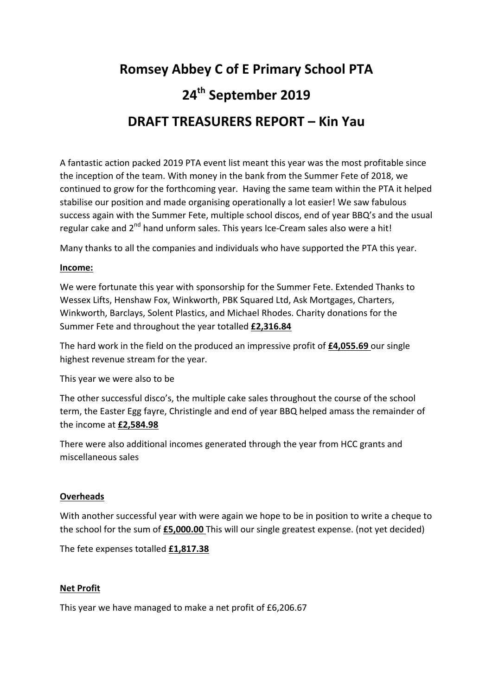# **Romsey Abbey C of E Primary School PTA 24th September 2019 DRAFT TREASURERS REPORT – Kin Yau**

A fantastic action packed 2019 PTA event list meant this year was the most profitable since the inception of the team. With money in the bank from the Summer Fete of 2018, we continued to grow for the forthcoming year. Having the same team within the PTA it helped stabilise our position and made organising operationally a lot easier! We saw fabulous success again with the Summer Fete, multiple school discos, end of year BBQ's and the usual regular cake and  $2^{nd}$  hand unform sales. This years Ice-Cream sales also were a hit!

Many thanks to all the companies and individuals who have supported the PTA this year.

#### **Income:**

We were fortunate this year with sponsorship for the Summer Fete. Extended Thanks to Wessex Lifts, Henshaw Fox, Winkworth, PBK Squared Ltd, Ask Mortgages, Charters, Winkworth, Barclays, Solent Plastics, and Michael Rhodes. Charity donations for the Summer Fete and throughout the year totalled **£2,316.84** 

The hard work in the field on the produced an impressive profit of **£4,055.69** our single highest revenue stream for the year.

This year we were also to be

The other successful disco's, the multiple cake sales throughout the course of the school term, the Easter Egg fayre, Christingle and end of year BBQ helped amass the remainder of the income at **£2,584.98** 

There were also additional incomes generated through the year from HCC grants and miscellaneous sales

#### **Overheads**

With another successful year with were again we hope to be in position to write a cheque to the school for the sum of **£5,000.00** This will our single greatest expense. (not yet decided)

The fete expenses totalled **£1,817.38** 

#### **Net Profit**

This year we have managed to make a net profit of £6,206.67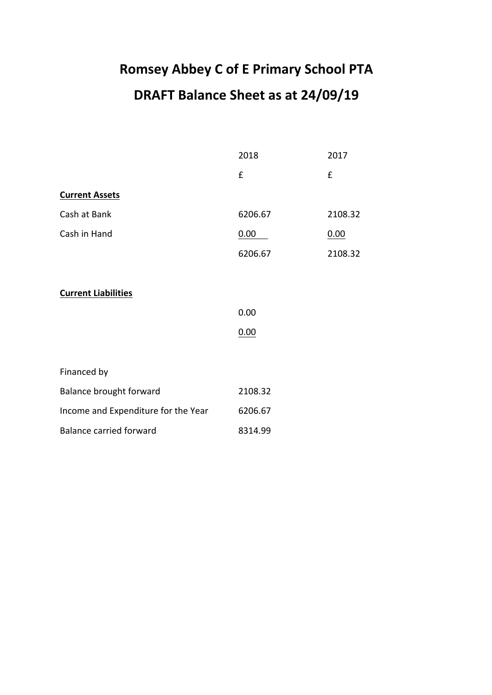# **Romsey Abbey C of E Primary School PTA DRAFT Balance Sheet as at 24/09/19**

|                                     | 2018    | 2017    |  |
|-------------------------------------|---------|---------|--|
|                                     | £       | £       |  |
| <b>Current Assets</b>               |         |         |  |
| Cash at Bank                        | 6206.67 | 2108.32 |  |
| Cash in Hand                        | 0.00    | 0.00    |  |
|                                     | 6206.67 | 2108.32 |  |
|                                     |         |         |  |
| <b>Current Liabilities</b>          |         |         |  |
|                                     | 0.00    |         |  |
|                                     | 0.00    |         |  |
|                                     |         |         |  |
| Financed by                         |         |         |  |
| Balance brought forward             | 2108.32 |         |  |
| Income and Expenditure for the Year | 6206.67 |         |  |
| <b>Balance carried forward</b>      | 8314.99 |         |  |